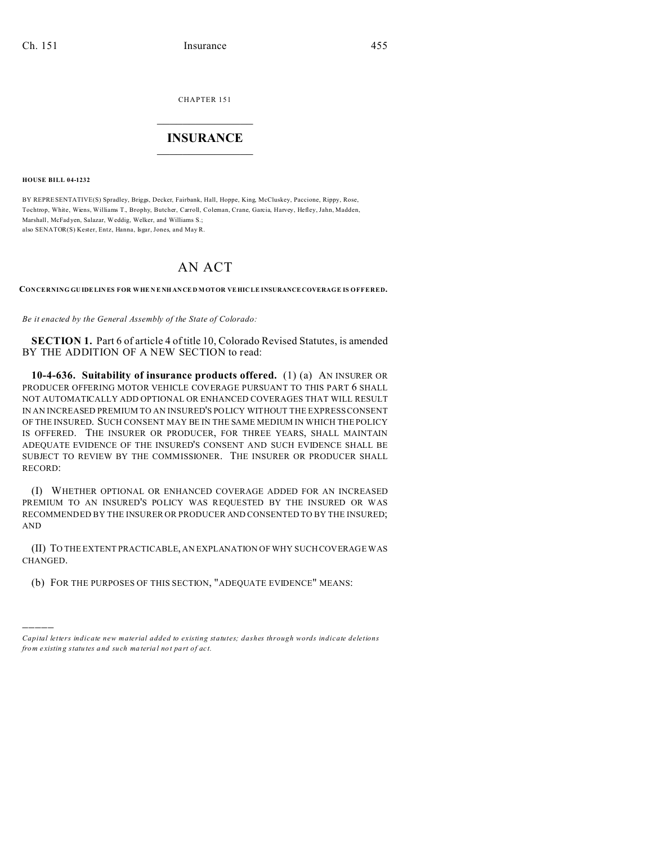CHAPTER 151

## $\overline{\phantom{a}}$  , where  $\overline{\phantom{a}}$ **INSURANCE**  $\_$   $\_$   $\_$   $\_$   $\_$   $\_$   $\_$   $\_$

**HOUSE BILL 04-1232**

)))))

BY REPRESENTATIVE(S) Spradley, Briggs, Decker, Fairbank, Hall, Hoppe, King, McCluskey, Paccione, Rippy, Rose, Tochtrop, White, Wiens, Williams T., Brophy, Butcher, Carroll, Coleman, Crane, Garcia, Harvey, Hefley, Jahn, Madden, Marshall, McFad yen, Salazar, Weddig, Welker, and Williams S.; also SENATOR(S) Kester, Entz, Hanna, Isgar, Jones, and May R.

## AN ACT

**CONCERNING GU IDELINES FOR WHE N E NH ANCE D MOTOR VEHIC LE INSURANCECOVERAGE IS OFFERED.**

*Be it enacted by the General Assembly of the State of Colorado:*

**SECTION 1.** Part 6 of article 4 of title 10, Colorado Revised Statutes, is amended BY THE ADDITION OF A NEW SECTION to read:

**10-4-636. Suitability of insurance products offered.** (1) (a) AN INSURER OR PRODUCER OFFERING MOTOR VEHICLE COVERAGE PURSUANT TO THIS PART 6 SHALL NOT AUTOMATICALLY ADD OPTIONAL OR ENHANCED COVERAGES THAT WILL RESULT IN AN INCREASED PREMIUM TO AN INSURED'S POLICY WITHOUT THE EXPRESS CONSENT OF THE INSURED. SUCH CONSENT MAY BE IN THE SAME MEDIUM IN WHICH THE POLICY IS OFFERED. THE INSURER OR PRODUCER, FOR THREE YEARS, SHALL MAINTAIN ADEQUATE EVIDENCE OF THE INSURED'S CONSENT AND SUCH EVIDENCE SHALL BE SUBJECT TO REVIEW BY THE COMMISSIONER. THE INSURER OR PRODUCER SHALL RECORD:

(I) WHETHER OPTIONAL OR ENHANCED COVERAGE ADDED FOR AN INCREASED PREMIUM TO AN INSURED'S POLICY WAS REQUESTED BY THE INSURED OR WAS RECOMMENDED BY THE INSURER OR PRODUCER AND CONSENTED TO BY THE INSURED; AND

(II) TO THE EXTENT PRACTICABLE, AN EXPLANATION OF WHY SUCH COVERAGE WAS CHANGED.

(b) FOR THE PURPOSES OF THIS SECTION, "ADEQUATE EVIDENCE" MEANS:

*Capital letters indicate new material added to existing statutes; dashes through words indicate deletions from e xistin g statu tes a nd such ma teria l no t pa rt of ac t.*